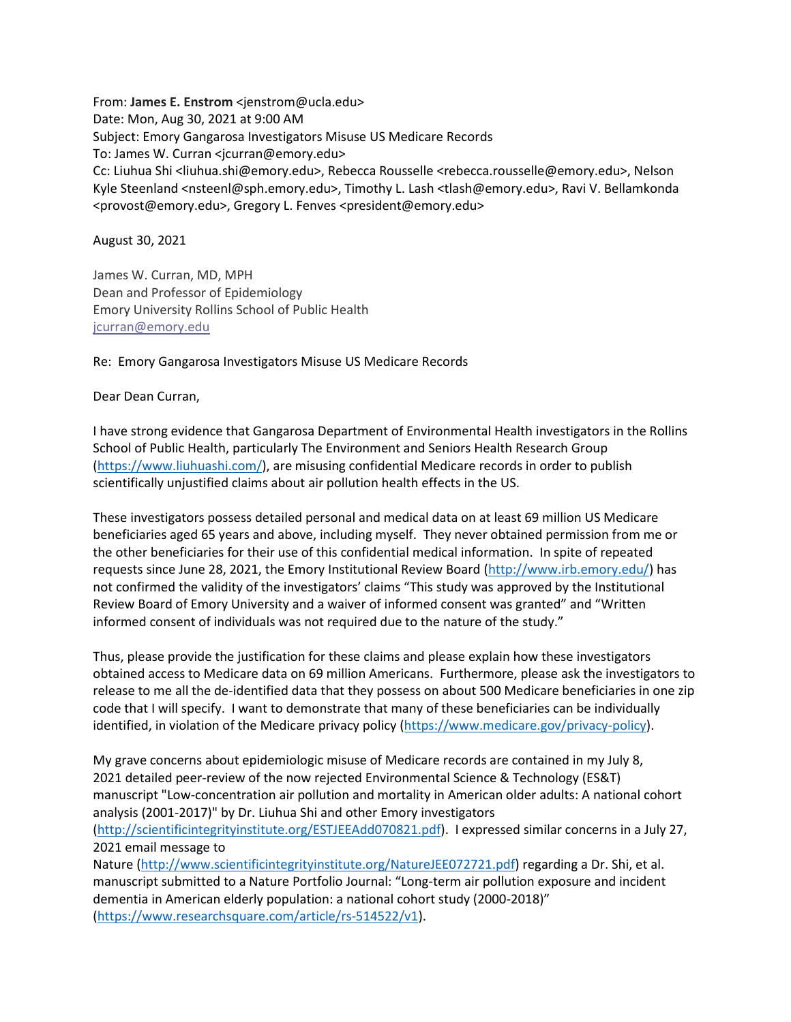From: **James E. Enstrom** <jenstrom@ucla.edu> Date: Mon, Aug 30, 2021 at 9:00 AM Subject: Emory Gangarosa Investigators Misuse US Medicare Records To: James W. Curran <jcurran@emory.edu> Cc: Liuhua Shi <liuhua.shi@emory.edu>, Rebecca Rousselle <rebecca.rousselle@emory.edu>, Nelson Kyle Steenland <nsteenl@sph.emory.edu>, Timothy L. Lash <tlash@emory.edu>, Ravi V. Bellamkonda <provost@emory.edu>, Gregory L. Fenves <president@emory.edu>

August 30, 2021

James W. Curran, MD, MPH Dean and Professor of Epidemiology Emory University Rollins School of Public Health [jcurran@emory.edu](mailto:jcurran@emory.edu)

Re: Emory Gangarosa Investigators Misuse US Medicare Records

Dear Dean Curran,

I have strong evidence that Gangarosa Department of Environmental Health investigators in the Rollins School of Public Health, particularly The Environment and Seniors Health Research Group [\(https://www.liuhuashi.com/\)](https://www.liuhuashi.com/), are misusing confidential Medicare records in order to publish scientifically unjustified claims about air pollution health effects in the US.

These investigators possess detailed personal and medical data on at least 69 million US Medicare beneficiaries aged 65 years and above, including myself. They never obtained permission from me or the other beneficiaries for their use of this confidential medical information. In spite of repeated requests since June 28, 2021, the Emory Institutional Review Board [\(http://www.irb.emory.edu/\)](http://www.irb.emory.edu/) has not confirmed the validity of the investigators' claims "This study was approved by the Institutional Review Board of Emory University and a waiver of informed consent was granted" and "Written informed consent of individuals was not required due to the nature of the study."

Thus, please provide the justification for these claims and please explain how these investigators obtained access to Medicare data on 69 million Americans. Furthermore, please ask the investigators to release to me all the de-identified data that they possess on about 500 Medicare beneficiaries in one zip code that I will specify. I want to demonstrate that many of these beneficiaries can be individually identified, in violation of the Medicare privacy policy [\(https://www.medicare.gov/privacy-policy\)](https://www.medicare.gov/privacy-policy).

My grave concerns about epidemiologic misuse of Medicare records are contained in my July 8, 2021 detailed peer-review of the now rejected Environmental Science & Technology (ES&T) manuscript "Low-concentration air pollution and mortality in American older adults: A national cohort analysis (2001-2017)" by Dr. Liuhua Shi and other Emory investigators

[\(http://scientificintegrityinstitute.org/ESTJEEAdd070821.pdf\)](http://scientificintegrityinstitute.org/ESTJEEAdd070821.pdf). I expressed similar concerns in a July 27, 2021 email message to

Nature [\(http://www.scientificintegrityinstitute.org/NatureJEE072721.pdf\)](http://www.scientificintegrityinstitute.org/NatureJEE072721.pdf) regarding a Dr. Shi, et al. manuscript submitted to a Nature Portfolio Journal: "Long-term air pollution exposure and incident dementia in American elderly population: a national cohort study (2000-2018)" [\(https://www.researchsquare.com/article/rs-514522/v1\)](https://www.researchsquare.com/article/rs-514522/v1).